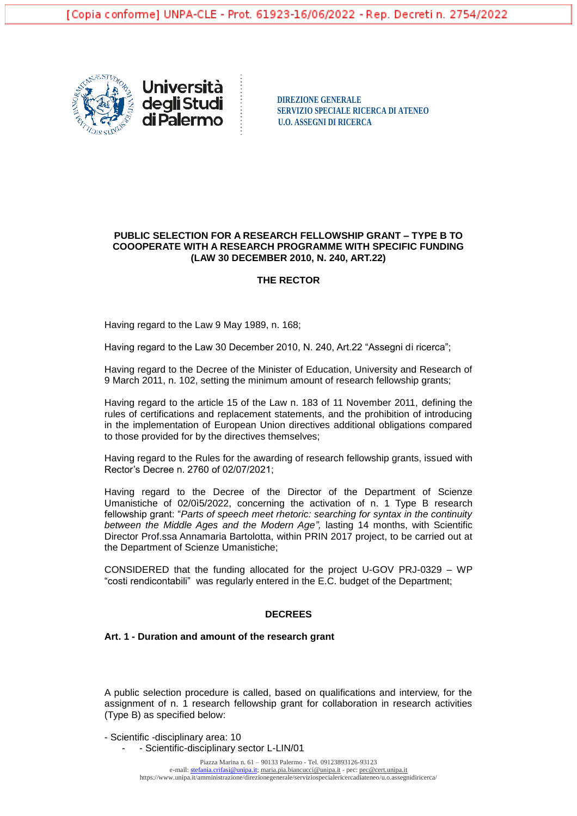



**SERVIZIO SPECIALE RICERCA DI ATENEO di Palermo**  $\frac{5260 \text{ Hz}}{10.0 \text{ ASSEGM DI RICERCA}}$ 

## **PUBLIC SELECTION FOR A RESEARCH FELLOWSHIP GRANT – TYPE B TO COOOPERATE WITH A RESEARCH PROGRAMME WITH SPECIFIC FUNDING (LAW 30 DECEMBER 2010, N. 240, ART.22)**

## **THE RECTOR**

Having regard to the Law 9 May 1989, n. 168;

Having regard to the Law 30 December 2010, N. 240, Art.22 "Assegni di ricerca";

Having regard to the Decree of the Minister of Education, University and Research of 9 March 2011, n. 102, setting the minimum amount of research fellowship grants;

Having regard to the article 15 of the Law n. 183 of 11 November 2011, defining the rules of certifications and replacement statements, and the prohibition of introducing in the implementation of European Union directives additional obligations compared to those provided for by the directives themselves;

Having regard to the Rules for the awarding of research fellowship grants, issued with Rector's Decree n. 2760 of 02/07/2021;

Having regard to the Decree of the Director of the Department of Scienze Umanistiche of 02/0ì5/2022, concerning the activation of n. 1 Type B research fellowship grant: "*Parts of speech meet rhetoric: searching for syntax in the continuity between the Middle Ages and the Modern Age",* lasting 14 months, with Scientific Director Prof.ssa Annamaria Bartolotta, within PRIN 2017 project, to be carried out at the Department of Scienze Umanistiche;

CONSIDERED that the funding allocated for the project U-GOV PRJ-0329 – WP "costi rendicontabili" was regularly entered in the E.C. budget of the Department;

### **DECREES**

### **Art. 1 - Duration and amount of the research grant**

A public selection procedure is called, based on qualifications and interview, for the assignment of n. 1 research fellowship grant for collaboration in research activities (Type B) as specified below:

- Scientific -disciplinary area: 10

- Scientific-disciplinary sector L-LIN/01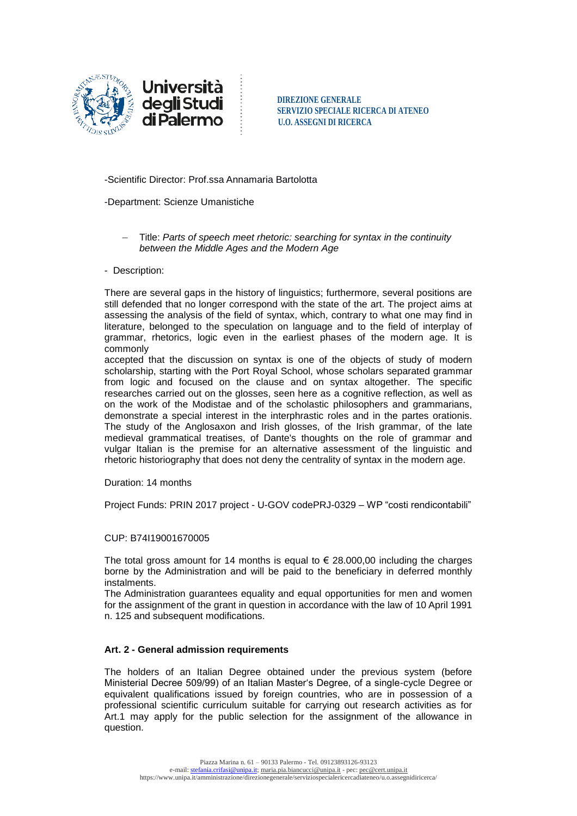

**degli Studi** DIREZIONE GENERALE **SERVIZIO SPECIALE RICERCA DI ATENEO di Palermo**  $\frac{1}{2}$  **U.O. ASSEGNI DI RICERCA** 

-Scientific Director: Prof.ssa Annamaria Bartolotta

## -Department: Scienze Umanistiche

Title: *Parts of speech meet rhetoric: searching for syntax in the continuity between the Middle Ages and the Modern Age*

### - Description:

There are several gaps in the history of linguistics; furthermore, several positions are still defended that no longer correspond with the state of the art. The project aims at assessing the analysis of the field of syntax, which, contrary to what one may find in literature, belonged to the speculation on language and to the field of interplay of grammar, rhetorics, logic even in the earliest phases of the modern age. It is commonly

accepted that the discussion on syntax is one of the objects of study of modern scholarship, starting with the Port Royal School, whose scholars separated grammar from logic and focused on the clause and on syntax altogether. The specific researches carried out on the glosses, seen here as a cognitive reflection, as well as on the work of the Modistae and of the scholastic philosophers and grammarians, demonstrate a special interest in the interphrastic roles and in the partes orationis. The study of the Anglosaxon and Irish glosses, of the Irish grammar, of the late medieval grammatical treatises, of Dante's thoughts on the role of grammar and vulgar Italian is the premise for an alternative assessment of the linguistic and rhetoric historiography that does not deny the centrality of syntax in the modern age.

Duration: 14 months

Project Funds: PRIN 2017 project - U-GOV codePRJ-0329 – WP "costi rendicontabili"

### CUP: B74I19001670005

The total gross amount for 14 months is equal to  $\epsilon$  28,000,00 including the charges borne by the Administration and will be paid to the beneficiary in deferred monthly instalments.

The Administration guarantees equality and equal opportunities for men and women for the assignment of the grant in question in accordance with the law of 10 April 1991 n. 125 and subsequent modifications.

### **Art. 2 - General admission requirements**

The holders of an Italian Degree obtained under the previous system (before Ministerial Decree 509/99) of an Italian Master's Degree, of a single-cycle Degree or equivalent qualifications issued by foreign countries, who are in possession of a professional scientific curriculum suitable for carrying out research activities as for Art.1 may apply for the public selection for the assignment of the allowance in question.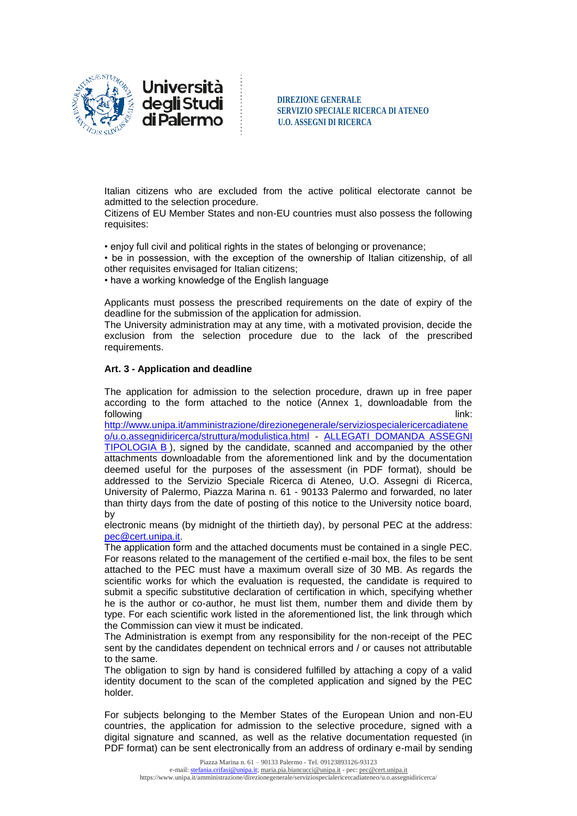

**SERVIZIO SPECIALE RICERCA DI ATENEO di Palermo**  $\frac{1}{2}$  **U.O. ASSEGNI DI RICERCA** 

Italian citizens who are excluded from the active political electorate cannot be admitted to the selection procedure.

Citizens of EU Member States and non-EU countries must also possess the following requisites:

• enjoy full civil and political rights in the states of belonging or provenance;

• be in possession, with the exception of the ownership of Italian citizenship, of all other requisites envisaged for Italian citizens;

• have a working knowledge of the English language

Applicants must possess the prescribed requirements on the date of expiry of the deadline for the submission of the application for admission.

The University administration may at any time, with a motivated provision, decide the exclusion from the selection procedure due to the lack of the prescribed requirements.

## **Art. 3 - Application and deadline**

The application for admission to the selection procedure, drawn up in free paper according to the form attached to the notice (Annex 1, downloadable from the following link: the contract of the contract of the contract of the contract of the contract of the contract of the contract of the contract of the contract of the contract of the contract of the contract of the contract o

[http://www.unipa.it/amministrazione/direzionegenerale/serviziospecialericercadiatene](http://www.unipa.it/amministrazione/direzionegenerale/serviziospecialericercadiateneo/u.o.assegnidiricerca/struttura/modulistica.html) [o/u.o.assegnidiricerca/struttura/modulistica.html](http://www.unipa.it/amministrazione/direzionegenerale/serviziospecialericercadiateneo/u.o.assegnidiricerca/struttura/modulistica.html) - [ALLEGATI DOMANDA ASSEGNI](http://www.unipa.it/amministrazione/direzionegenerale/serviziospecialericercadiateneo/u.o.assegnidiricerca/.content/documenti/allegati_domanda_ass._tipologia_b_.doc)  [TIPOLOGIA B](http://www.unipa.it/amministrazione/direzionegenerale/serviziospecialericercadiateneo/u.o.assegnidiricerca/.content/documenti/allegati_domanda_ass._tipologia_b_.doc) ), signed by the candidate, scanned and accompanied by the other attachments downloadable from the aforementioned link and by the documentation deemed useful for the purposes of the assessment (in PDF format), should be addressed to the Servizio Speciale Ricerca di Ateneo, U.O. Assegni di Ricerca, University of Palermo, Piazza Marina n. 61 - 90133 Palermo and forwarded, no later than thirty days from the date of posting of this notice to the University notice board, by

electronic means (by midnight of the thirtieth day), by personal PEC at the address: [pec@cert.unipa.it.](mailto:pec@cert.unipa.it)

The application form and the attached documents must be contained in a single PEC. For reasons related to the management of the certified e-mail box, the files to be sent attached to the PEC must have a maximum overall size of 30 MB. As regards the scientific works for which the evaluation is requested, the candidate is required to submit a specific substitutive declaration of certification in which, specifying whether he is the author or co-author, he must list them, number them and divide them by type. For each scientific work listed in the aforementioned list, the link through which the Commission can view it must be indicated.

The Administration is exempt from any responsibility for the non-receipt of the PEC sent by the candidates dependent on technical errors and / or causes not attributable to the same.

The obligation to sign by hand is considered fulfilled by attaching a copy of a valid identity document to the scan of the completed application and signed by the PEC holder.

For subjects belonging to the Member States of the European Union and non-EU countries, the application for admission to the selective procedure, signed with a digital signature and scanned, as well as the relative documentation requested (in PDF format) can be sent electronically from an address of ordinary e-mail by sending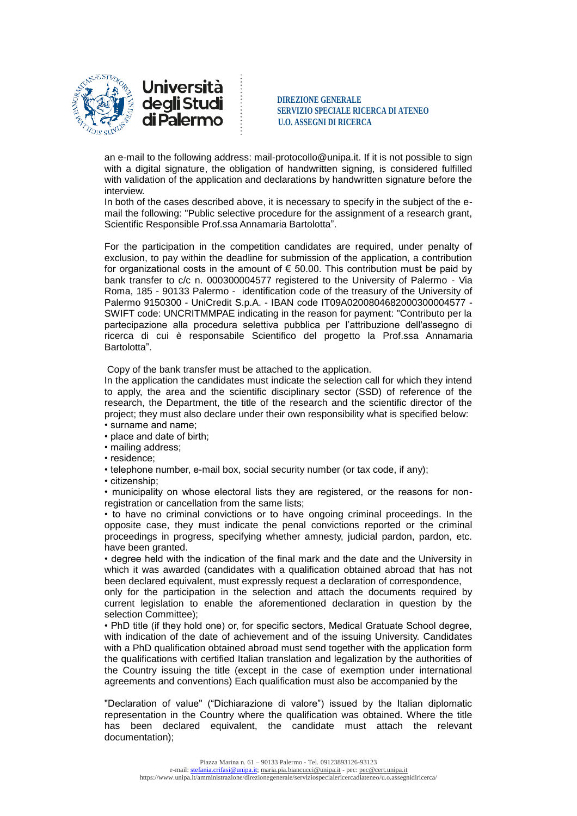

**degli Studi** DIREZIONE GENERALE **SERVIZIO SPECIALE RICERCA DI ATENEO di Palermo**  $\frac{1}{2}$  **U.O. ASSEGNI DI RICERCA** 

an e-mail to the following address: mail-protocollo@unipa.it. If it is not possible to sign with a digital signature, the obligation of handwritten signing, is considered fulfilled with validation of the application and declarations by handwritten signature before the interview.

In both of the cases described above, it is necessary to specify in the subject of the email the following: "Public selective procedure for the assignment of a research grant, Scientific Responsible Prof.ssa Annamaria Bartolotta".

For the participation in the competition candidates are required, under penalty of exclusion, to pay within the deadline for submission of the application, a contribution for organizational costs in the amount of  $\epsilon$  50.00. This contribution must be paid by bank transfer to c/c n. 000300004577 registered to the University of Palermo - Via Roma, 185 - 90133 Palermo - identification code of the treasury of the University of Palermo 9150300 - UniCredit S.p.A. - IBAN code IT09A0200804682000300004577 - SWIFT code: UNCRITMMPAE indicating in the reason for payment: "Contributo per la partecipazione alla procedura selettiva pubblica per l'attribuzione dell'assegno di ricerca di cui è responsabile Scientifico del progetto la Prof.ssa Annamaria Bartolotta".

Copy of the bank transfer must be attached to the application.

In the application the candidates must indicate the selection call for which they intend to apply, the area and the scientific disciplinary sector (SSD) of reference of the research, the Department, the title of the research and the scientific director of the project; they must also declare under their own responsibility what is specified below: • surname and name;

- place and date of birth;
- mailing address;
- residence;
- telephone number, e-mail box, social security number (or tax code, if any);
- citizenship;

• municipality on whose electoral lists they are registered, or the reasons for nonregistration or cancellation from the same lists;

• to have no criminal convictions or to have ongoing criminal proceedings. In the opposite case, they must indicate the penal convictions reported or the criminal proceedings in progress, specifying whether amnesty, judicial pardon, pardon, etc. have been granted.

• degree held with the indication of the final mark and the date and the University in which it was awarded (candidates with a qualification obtained abroad that has not been declared equivalent, must expressly request a declaration of correspondence,

only for the participation in the selection and attach the documents required by current legislation to enable the aforementioned declaration in question by the selection Committee);

• PhD title (if they hold one) or, for specific sectors, Medical Gratuate School degree, with indication of the date of achievement and of the issuing University. Candidates with a PhD qualification obtained abroad must send together with the application form the qualifications with certified Italian translation and legalization by the authorities of the Country issuing the title (except in the case of exemption under international agreements and conventions) Each qualification must also be accompanied by the

"Declaration of value" ("Dichiarazione di valore") issued by the Italian diplomatic representation in the Country where the qualification was obtained. Where the title has been declared equivalent, the candidate must attach the relevant documentation);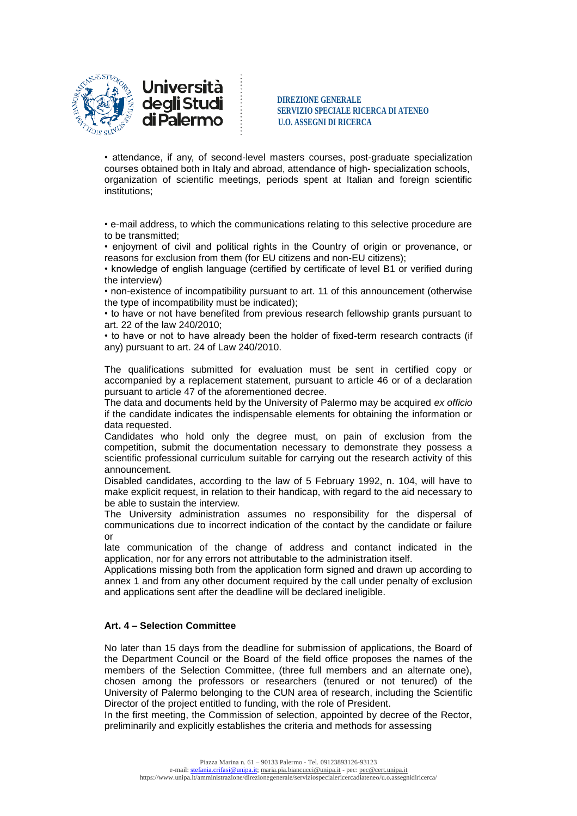



**SERVIZIO SPECIALE RICERCA DI ATENEO di Palermo**  $\frac{1}{2}$  **U.O. ASSEGNI DI RICERCA** 

• attendance, if any, of second-level masters courses, post-graduate specialization courses obtained both in Italy and abroad, attendance of high- specialization schools, organization of scientific meetings, periods spent at Italian and foreign scientific institutions;

• e-mail address, to which the communications relating to this selective procedure are to be transmitted;

• enjoyment of civil and political rights in the Country of origin or provenance, or reasons for exclusion from them (for EU citizens and non-EU citizens);

• knowledge of english language (certified by certificate of level B1 or verified during the interview)

• non-existence of incompatibility pursuant to art. 11 of this announcement (otherwise the type of incompatibility must be indicated);

• to have or not have benefited from previous research fellowship grants pursuant to art. 22 of the law 240/2010;

• to have or not to have already been the holder of fixed-term research contracts (if any) pursuant to art. 24 of Law 240/2010.

The qualifications submitted for evaluation must be sent in certified copy or accompanied by a replacement statement, pursuant to article 46 or of a declaration pursuant to article 47 of the aforementioned decree.

The data and documents held by the University of Palermo may be acquired *ex officio* if the candidate indicates the indispensable elements for obtaining the information or data requested.

Candidates who hold only the degree must, on pain of exclusion from the competition, submit the documentation necessary to demonstrate they possess a scientific professional curriculum suitable for carrying out the research activity of this announcement.

Disabled candidates, according to the law of 5 February 1992, n. 104, will have to make explicit request, in relation to their handicap, with regard to the aid necessary to be able to sustain the interview.

The University administration assumes no responsibility for the dispersal of communications due to incorrect indication of the contact by the candidate or failure or

late communication of the change of address and contanct indicated in the application, nor for any errors not attributable to the administration itself.

Applications missing both from the application form signed and drawn up according to annex 1 and from any other document required by the call under penalty of exclusion and applications sent after the deadline will be declared ineligible.

# **Art. 4 – Selection Committee**

No later than 15 days from the deadline for submission of applications, the Board of the Department Council or the Board of the field office proposes the names of the members of the Selection Committee, (three full members and an alternate one), chosen among the professors or researchers (tenured or not tenured) of the University of Palermo belonging to the CUN area of research, including the Scientific Director of the project entitled to funding, with the role of President.

In the first meeting, the Commission of selection, appointed by decree of the Rector, preliminarily and explicitly establishes the criteria and methods for assessing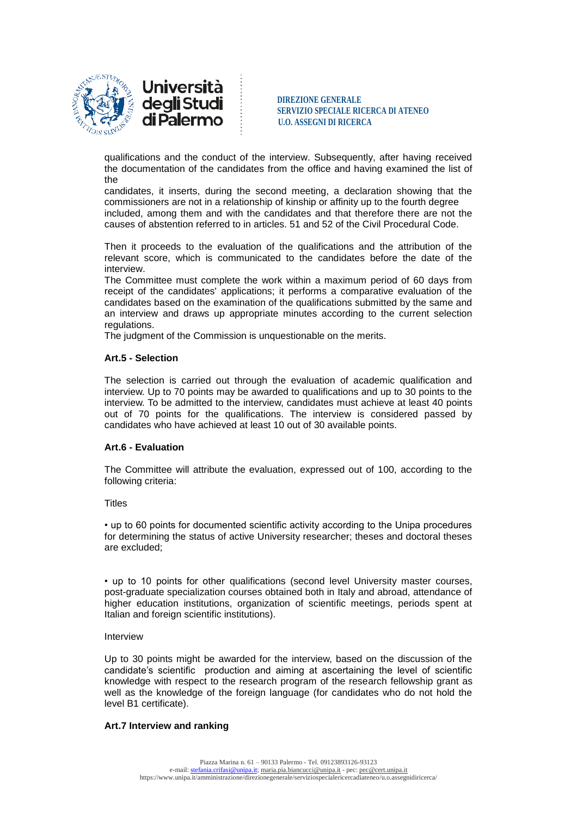



**SERVIZIO SPECIALE RICERCA DI ATENEO di Palermo**  $\frac{3228 \text{ NLEU} \cdot \text{NECHE}}{U.0. \text{ ASSEGNI DI RICERCA}}$ 

qualifications and the conduct of the interview. Subsequently, after having received the documentation of the candidates from the office and having examined the list of the

candidates, it inserts, during the second meeting, a declaration showing that the commissioners are not in a relationship of kinship or affinity up to the fourth degree included, among them and with the candidates and that therefore there are not the causes of abstention referred to in articles. 51 and 52 of the Civil Procedural Code.

Then it proceeds to the evaluation of the qualifications and the attribution of the relevant score, which is communicated to the candidates before the date of the interview.

The Committee must complete the work within a maximum period of 60 days from receipt of the candidates' applications; it performs a comparative evaluation of the candidates based on the examination of the qualifications submitted by the same and an interview and draws up appropriate minutes according to the current selection regulations.

The judgment of the Commission is unquestionable on the merits.

# **Art.5 - Selection**

The selection is carried out through the evaluation of academic qualification and interview. Up to 70 points may be awarded to qualifications and up to 30 points to the interview. To be admitted to the interview, candidates must achieve at least 40 points out of 70 points for the qualifications. The interview is considered passed by candidates who have achieved at least 10 out of 30 available points.

# **Art.6 - Evaluation**

The Committee will attribute the evaluation, expressed out of 100, according to the following criteria:

# **Titles**

• up to 60 points for documented scientific activity according to the Unipa procedures for determining the status of active University researcher; theses and doctoral theses are excluded;

• up to 10 points for other qualifications (second level University master courses, post-graduate specialization courses obtained both in Italy and abroad, attendance of higher education institutions, organization of scientific meetings, periods spent at Italian and foreign scientific institutions).

# Interview

Up to 30 points might be awarded for the interview, based on the discussion of the candidate's scientific production and aiming at ascertaining the level of scientific knowledge with respect to the research program of the research fellowship grant as well as the knowledge of the foreign language (for candidates who do not hold the level B1 certificate).

# **Art.7 Interview and ranking**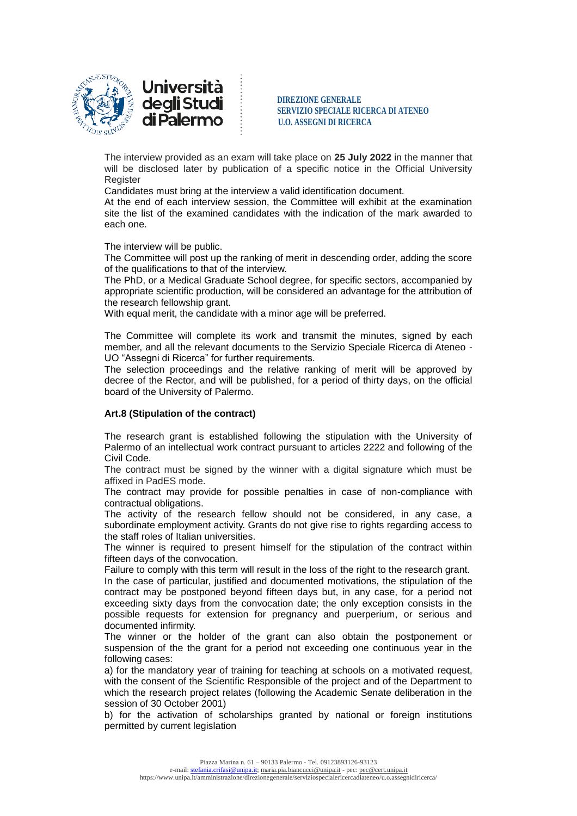



The interview provided as an exam will take place on **25 July 2022** in the manner that will be disclosed later by publication of a specific notice in the Official University **Register** 

Candidates must bring at the interview a valid identification document.

At the end of each interview session, the Committee will exhibit at the examination site the list of the examined candidates with the indication of the mark awarded to each one.

The interview will be public.

The Committee will post up the ranking of merit in descending order, adding the score of the qualifications to that of the interview.

The PhD, or a Medical Graduate School degree, for specific sectors, accompanied by appropriate scientific production, will be considered an advantage for the attribution of the research fellowship grant.

With equal merit, the candidate with a minor age will be preferred.

The Committee will complete its work and transmit the minutes, signed by each member, and all the relevant documents to the Servizio Speciale Ricerca di Ateneo - UO "Assegni di Ricerca" for further requirements.

The selection proceedings and the relative ranking of merit will be approved by decree of the Rector, and will be published, for a period of thirty days, on the official board of the University of Palermo.

### **Art.8 (Stipulation of the contract)**

The research grant is established following the stipulation with the University of Palermo of an intellectual work contract pursuant to articles 2222 and following of the Civil Code.

The contract must be signed by the winner with a digital signature which must be affixed in PadES mode.

The contract may provide for possible penalties in case of non-compliance with contractual obligations.

The activity of the research fellow should not be considered, in any case, a subordinate employment activity. Grants do not give rise to rights regarding access to the staff roles of Italian universities.

The winner is required to present himself for the stipulation of the contract within fifteen days of the convocation.

Failure to comply with this term will result in the loss of the right to the research grant. In the case of particular, justified and documented motivations, the stipulation of the contract may be postponed beyond fifteen days but, in any case, for a period not exceeding sixty days from the convocation date; the only exception consists in the possible requests for extension for pregnancy and puerperium, or serious and documented infirmity.

The winner or the holder of the grant can also obtain the postponement or suspension of the the grant for a period not exceeding one continuous year in the following cases:

a) for the mandatory year of training for teaching at schools on a motivated request, with the consent of the Scientific Responsible of the project and of the Department to which the research project relates (following the Academic Senate deliberation in the session of 30 October 2001)

b) for the activation of scholarships granted by national or foreign institutions permitted by current legislation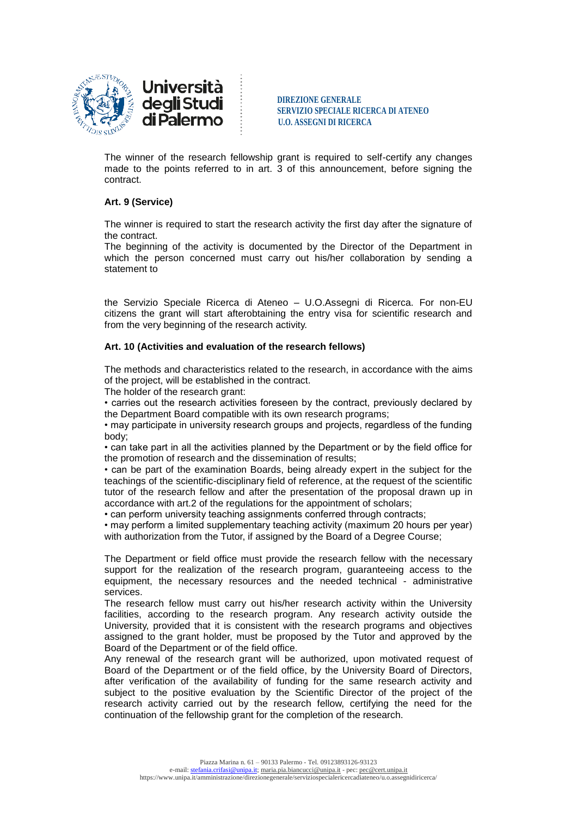

 **DIREZIONE GENERALE SERVIZIO SPECIALE RICERCA DI ATENEO di Palermo**  $\frac{3228 \text{ NLEU} \cdot \text{NECHE}}{U.0. \text{ ASSEGNI DI RICERCA}}$ 

The winner of the research fellowship grant is required to self-certify any changes made to the points referred to in art. 3 of this announcement, before signing the contract.

## **Art. 9 (Service)**

The winner is required to start the research activity the first day after the signature of the contract.

The beginning of the activity is documented by the Director of the Department in which the person concerned must carry out his/her collaboration by sending a statement to

the Servizio Speciale Ricerca di Ateneo – U.O.Assegni di Ricerca. For non-EU citizens the grant will start afterobtaining the entry visa for scientific research and from the very beginning of the research activity.

## **Art. 10 (Activities and evaluation of the research fellows)**

The methods and characteristics related to the research, in accordance with the aims of the project, will be established in the contract.

The holder of the research grant:

• carries out the research activities foreseen by the contract, previously declared by the Department Board compatible with its own research programs;

• may participate in university research groups and projects, regardless of the funding body;

• can take part in all the activities planned by the Department or by the field office for the promotion of research and the dissemination of results;

• can be part of the examination Boards, being already expert in the subject for the teachings of the scientific-disciplinary field of reference, at the request of the scientific tutor of the research fellow and after the presentation of the proposal drawn up in accordance with art.2 of the regulations for the appointment of scholars;

• can perform university teaching assignments conferred through contracts;

• may perform a limited supplementary teaching activity (maximum 20 hours per year) with authorization from the Tutor, if assigned by the Board of a Degree Course;

The Department or field office must provide the research fellow with the necessary support for the realization of the research program, guaranteeing access to the equipment, the necessary resources and the needed technical - administrative services.

The research fellow must carry out his/her research activity within the University facilities, according to the research program. Any research activity outside the University, provided that it is consistent with the research programs and objectives assigned to the grant holder, must be proposed by the Tutor and approved by the Board of the Department or of the field office.

Any renewal of the research grant will be authorized, upon motivated request of Board of the Department or of the field office, by the University Board of Directors, after verification of the availability of funding for the same research activity and subject to the positive evaluation by the Scientific Director of the project of the research activity carried out by the research fellow, certifying the need for the continuation of the fellowship grant for the completion of the research.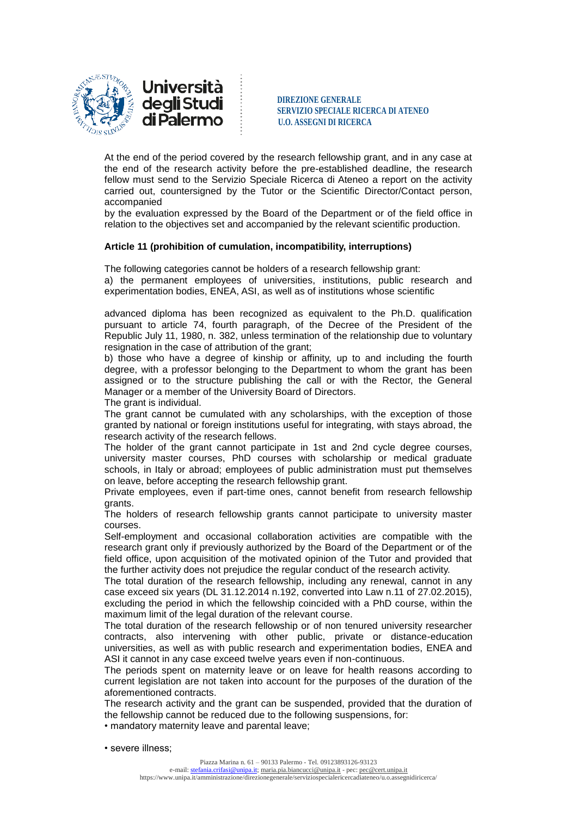

**degli Studi** DIREZIONE GENERALE **SERVIZIO SPECIALE RICERCA DI ATENEO di Palermo**  $\frac{1}{2}$  **U.O. ASSEGNI DI RICERCA** 

At the end of the period covered by the research fellowship grant, and in any case at the end of the research activity before the pre-established deadline, the research fellow must send to the Servizio Speciale Ricerca di Ateneo a report on the activity carried out, countersigned by the Tutor or the Scientific Director/Contact person, accompanied

by the evaluation expressed by the Board of the Department or of the field office in relation to the objectives set and accompanied by the relevant scientific production.

## **Article 11 (prohibition of cumulation, incompatibility, interruptions)**

The following categories cannot be holders of a research fellowship grant: a) the permanent employees of universities, institutions, public research and experimentation bodies, ENEA, ASI, as well as of institutions whose scientific

advanced diploma has been recognized as equivalent to the Ph.D. qualification pursuant to article 74, fourth paragraph, of the Decree of the President of the Republic July 11, 1980, n. 382, unless termination of the relationship due to voluntary resignation in the case of attribution of the grant;

b) those who have a degree of kinship or affinity, up to and including the fourth degree, with a professor belonging to the Department to whom the grant has been assigned or to the structure publishing the call or with the Rector, the General Manager or a member of the University Board of Directors.

The grant is individual.

The grant cannot be cumulated with any scholarships, with the exception of those granted by national or foreign institutions useful for integrating, with stays abroad, the research activity of the research fellows.

The holder of the grant cannot participate in 1st and 2nd cycle degree courses, university master courses, PhD courses with scholarship or medical graduate schools, in Italy or abroad; employees of public administration must put themselves on leave, before accepting the research fellowship grant.

Private employees, even if part-time ones, cannot benefit from research fellowship grants.

The holders of research fellowship grants cannot participate to university master courses.

Self-employment and occasional collaboration activities are compatible with the research grant only if previously authorized by the Board of the Department or of the field office, upon acquisition of the motivated opinion of the Tutor and provided that the further activity does not prejudice the regular conduct of the research activity.

The total duration of the research fellowship, including any renewal, cannot in any case exceed six years (DL 31.12.2014 n.192, converted into Law n.11 of 27.02.2015), excluding the period in which the fellowship coincided with a PhD course, within the maximum limit of the legal duration of the relevant course.

The total duration of the research fellowship or of non tenured university researcher contracts, also intervening with other public, private or distance-education universities, as well as with public research and experimentation bodies, ENEA and ASI it cannot in any case exceed twelve years even if non-continuous.

The periods spent on maternity leave or on leave for health reasons according to current legislation are not taken into account for the purposes of the duration of the aforementioned contracts.

The research activity and the grant can be suspended, provided that the duration of the fellowship cannot be reduced due to the following suspensions, for:

• mandatory maternity leave and parental leave;

• severe illness;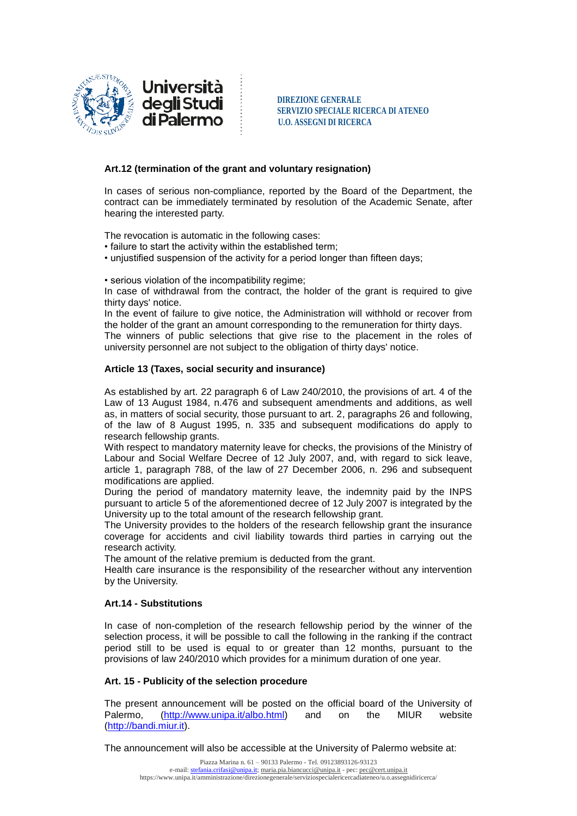

**SERVIZIO SPECIALE RICERCA DI ATENEO di Palermo**  $\frac{1}{2}$  **U.O. ASSEGNI DI RICERCA** 

## **Art.12 (termination of the grant and voluntary resignation)**

In cases of serious non-compliance, reported by the Board of the Department, the contract can be immediately terminated by resolution of the Academic Senate, after hearing the interested party.

The revocation is automatic in the following cases:

- failure to start the activity within the established term;
- unjustified suspension of the activity for a period longer than fifteen days;

• serious violation of the incompatibility regime;

In case of withdrawal from the contract, the holder of the grant is required to give thirty days' notice.

In the event of failure to give notice, the Administration will withhold or recover from the holder of the grant an amount corresponding to the remuneration for thirty days.

The winners of public selections that give rise to the placement in the roles of university personnel are not subject to the obligation of thirty days' notice.

### **Article 13 (Taxes, social security and insurance)**

As established by art. 22 paragraph 6 of Law 240/2010, the provisions of art. 4 of the Law of 13 August 1984, n.476 and subsequent amendments and additions, as well as, in matters of social security, those pursuant to art. 2, paragraphs 26 and following, of the law of 8 August 1995, n. 335 and subsequent modifications do apply to research fellowship grants.

With respect to mandatory maternity leave for checks, the provisions of the Ministry of Labour and Social Welfare Decree of 12 July 2007, and, with regard to sick leave, article 1, paragraph 788, of the law of 27 December 2006, n. 296 and subsequent modifications are applied.

During the period of mandatory maternity leave, the indemnity paid by the INPS pursuant to article 5 of the aforementioned decree of 12 July 2007 is integrated by the University up to the total amount of the research fellowship grant.

The University provides to the holders of the research fellowship grant the insurance coverage for accidents and civil liability towards third parties in carrying out the research activity.

The amount of the relative premium is deducted from the grant.

Health care insurance is the responsibility of the researcher without any intervention by the University.

### **Art.14 - Substitutions**

In case of non-completion of the research fellowship period by the winner of the selection process, it will be possible to call the following in the ranking if the contract period still to be used is equal to or greater than 12 months, pursuant to the provisions of law 240/2010 which provides for a minimum duration of one year.

### **Art. 15 - Publicity of the selection procedure**

The present announcement will be posted on the official board of the University of Palermo, [\(http://www.unipa.it/albo.html\)](http://www.unipa.it/albo.html) and on the MIUR website [\(http://bandi.miur.it\)](http://bandi.miur.it/).

The announcement will also be accessible at the University of Palermo website at: